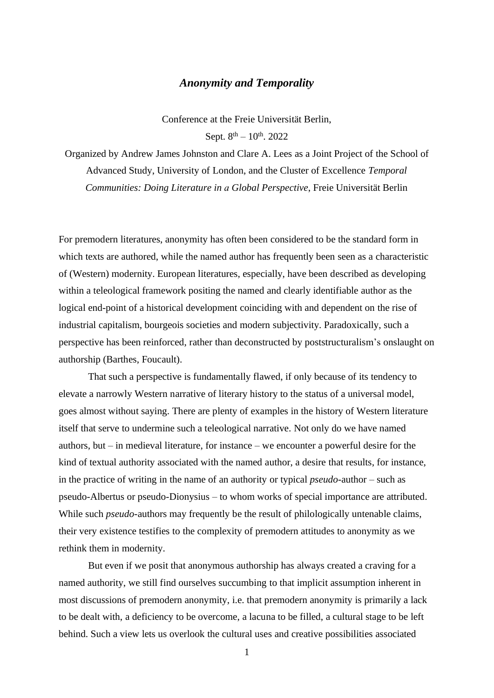## *Anonymity and Temporality*

Conference at the Freie Universität Berlin, Sept.  $8^{th} - 10^{th}$ . 2022

Organized by Andrew James Johnston and Clare A. Lees as a Joint Project of the School of Advanced Study, University of London, and the Cluster of Excellence *Temporal Communities: Doing Literature in a Global Perspective*, Freie Universität Berlin

For premodern literatures, anonymity has often been considered to be the standard form in which texts are authored, while the named author has frequently been seen as a characteristic of (Western) modernity. European literatures, especially, have been described as developing within a teleological framework positing the named and clearly identifiable author as the logical end-point of a historical development coinciding with and dependent on the rise of industrial capitalism, bourgeois societies and modern subjectivity. Paradoxically, such a perspective has been reinforced, rather than deconstructed by poststructuralism's onslaught on authorship (Barthes, Foucault).

That such a perspective is fundamentally flawed, if only because of its tendency to elevate a narrowly Western narrative of literary history to the status of a universal model, goes almost without saying. There are plenty of examples in the history of Western literature itself that serve to undermine such a teleological narrative. Not only do we have named authors, but – in medieval literature, for instance – we encounter a powerful desire for the kind of textual authority associated with the named author, a desire that results, for instance, in the practice of writing in the name of an authority or typical *pseudo*-author – such as pseudo-Albertus or pseudo-Dionysius – to whom works of special importance are attributed. While such *pseudo*-authors may frequently be the result of philologically untenable claims, their very existence testifies to the complexity of premodern attitudes to anonymity as we rethink them in modernity.

But even if we posit that anonymous authorship has always created a craving for a named authority, we still find ourselves succumbing to that implicit assumption inherent in most discussions of premodern anonymity, i.e. that premodern anonymity is primarily a lack to be dealt with, a deficiency to be overcome, a lacuna to be filled, a cultural stage to be left behind. Such a view lets us overlook the cultural uses and creative possibilities associated

1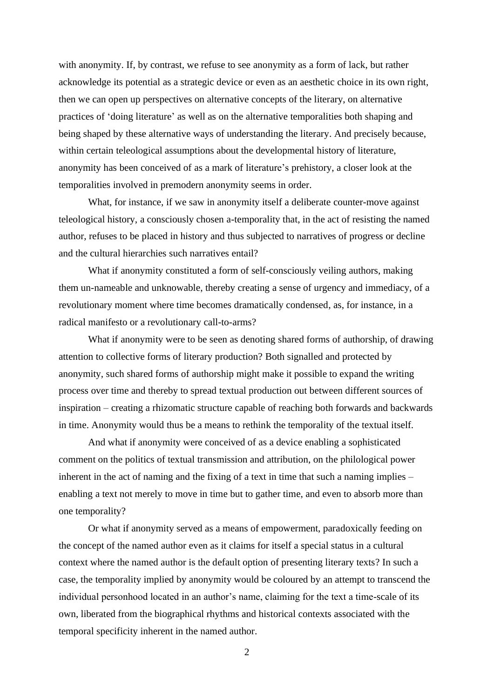with anonymity. If, by contrast, we refuse to see anonymity as a form of lack, but rather acknowledge its potential as a strategic device or even as an aesthetic choice in its own right, then we can open up perspectives on alternative concepts of the literary, on alternative practices of 'doing literature' as well as on the alternative temporalities both shaping and being shaped by these alternative ways of understanding the literary. And precisely because, within certain teleological assumptions about the developmental history of literature, anonymity has been conceived of as a mark of literature's prehistory, a closer look at the temporalities involved in premodern anonymity seems in order.

What, for instance, if we saw in anonymity itself a deliberate counter-move against teleological history, a consciously chosen a-temporality that, in the act of resisting the named author, refuses to be placed in history and thus subjected to narratives of progress or decline and the cultural hierarchies such narratives entail?

What if anonymity constituted a form of self-consciously veiling authors, making them un-nameable and unknowable, thereby creating a sense of urgency and immediacy, of a revolutionary moment where time becomes dramatically condensed, as, for instance, in a radical manifesto or a revolutionary call-to-arms?

What if anonymity were to be seen as denoting shared forms of authorship, of drawing attention to collective forms of literary production? Both signalled and protected by anonymity, such shared forms of authorship might make it possible to expand the writing process over time and thereby to spread textual production out between different sources of inspiration – creating a rhizomatic structure capable of reaching both forwards and backwards in time. Anonymity would thus be a means to rethink the temporality of the textual itself.

And what if anonymity were conceived of as a device enabling a sophisticated comment on the politics of textual transmission and attribution, on the philological power inherent in the act of naming and the fixing of a text in time that such a naming implies – enabling a text not merely to move in time but to gather time, and even to absorb more than one temporality?

Or what if anonymity served as a means of empowerment, paradoxically feeding on the concept of the named author even as it claims for itself a special status in a cultural context where the named author is the default option of presenting literary texts? In such a case, the temporality implied by anonymity would be coloured by an attempt to transcend the individual personhood located in an author's name, claiming for the text a time-scale of its own, liberated from the biographical rhythms and historical contexts associated with the temporal specificity inherent in the named author.

2